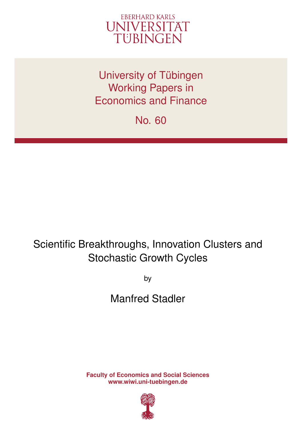

University of Tübingen Working Papers in Economics and Finance

No. 60

# Scientific Breakthroughs, Innovation Clusters and Stochastic Growth Cycles

by

Manfred Stadler

**Faculty of Economics and Social Sciences www.wiwi.uni-tuebingen.de**

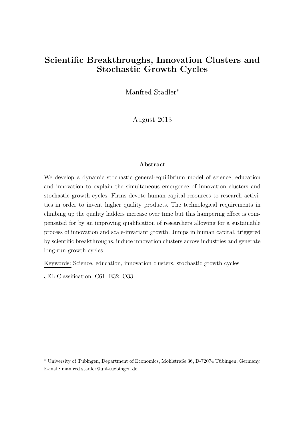### Scientific Breakthroughs, Innovation Clusters and Stochastic Growth Cycles

Manfred Stadler<sup>∗</sup>

August 2013

#### Abstract

We develop a dynamic stochastic general-equilibrium model of science, education and innovation to explain the simultaneous emergence of innovation clusters and stochastic growth cycles. Firms devote human-capital resources to research activities in order to invent higher quality products. The technological requirements in climbing up the quality ladders increase over time but this hampering effect is compensated for by an improving qualification of researchers allowing for a sustainable process of innovation and scale-invariant growth. Jumps in human capital, triggered by scientific breakthroughs, induce innovation clusters across industries and generate long-run growth cycles.

Keywords: Science, education, innovation clusters, stochastic growth cycles

JEL Classification: C61, E32, O33

\* University of Tübingen, Department of Economics, Mohlstraße 36, D-72074 Tübingen, Germany. E-mail: manfred.stadler@uni-tuebingen.de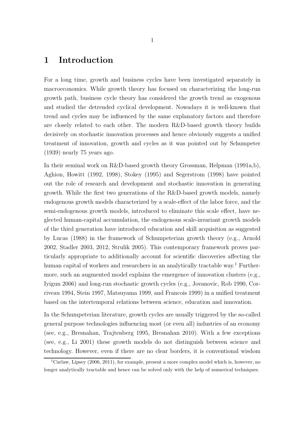### 1 Introduction

For a long time, growth and business cycles have been investigated separately in macroeconomics. While growth theory has focused on characterizing the long-run growth path, business cycle theory has considered the growth trend as exogenous and studied the detrended cyclical development. Nowadays it is well-known that trend and cycles may be influenced by the same explanatory factors and therefore are closely related to each other. The modern R&D-based growth theory builds decisively on stochastic innovation processes and hence obviously suggests a unified treatment of innovation, growth and cycles as it was pointed out by Schumpeter (1939) nearly 75 years ago.

In their seminal work on R&D-based growth theory Grossman, Helpman (1991a,b), Aghion, Howitt (1992, 1998), Stokey (1995) and Segerstrom (1998) have pointed out the role of research and development and stochastic innovation in generating growth. While the first two generations of the R&D-based growth models, namely endogenous growth models characterized by a scale-effect of the labor force, and the semi-endogenous growth models, introduced to eliminate this scale effect, have neglected human-capital accumulation, the endogenous scale-invariant growth models of the third generation have introduced education and skill acquisition as suggested by Lucas (1988) in the framework of Schumpeterian growth theory (e.g., Arnold 2002, Stadler 2003, 2012, Strulik 2005). This contemporary framework proves particularly appropriate to additionally account for scientific discoveries affecting the human capital of workers and researchers in an analytically tractable way.<sup>1</sup> Furthermore, such an augmented model explains the emergence of innovation clusters (e.g., Iyigun 2006) and long-run stochastic growth cycles (e.g., Jovanovic, Rob 1990, Corriveau 1994, Stein 1997, Matsuyama 1999, and Francois 1999) in a unified treatment based on the intertemporal relations between science, education and innovation.

In the Schumpeterian literature, growth cycles are usually triggered by the so-called general purpose technologies influencing most (or even all) industries of an economy (see, e.g., Bresnahan, Trajtenberg 1995, Bresnahan 2010). With a few exceptions (see, e.g., Li 2001) these growth models do not distinguish between science and technology. However, even if there are no clear borders, it is conventional wisdom

<sup>&</sup>lt;sup>1</sup>Carlaw, Lipsey (2006, 2011), for example, present a more complex model which is, however, no longer analytically tractable and hence can be solved only with the help of numerical techniques.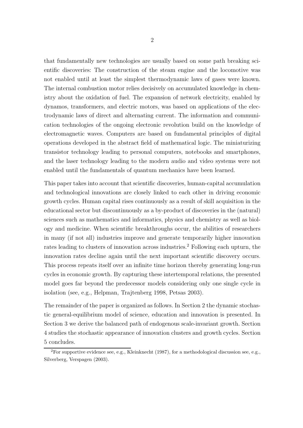that fundamentally new technologies are usually based on some path breaking scientific discoveries: The construction of the steam engine and the locomotive was not enabled until at least the simplest thermodynamic laws of gases were known. The internal combustion motor relies decisively on accumulated knowledge in chemistry about the oxidation of fuel. The expansion of network electricity, enabled by dynamos, transformers, and electric motors, was based on applications of the electrodynamic laws of direct and alternating current. The information and communication technologies of the ongoing electronic revolution build on the knowledge of electromagnetic waves. Computers are based on fundamental principles of digital operations developed in the abstract field of mathematical logic. The miniaturizing transistor technology leading to personal computers, notebooks and smartphones, and the laser technology leading to the modern audio and video systems were not enabled until the fundamentals of quantum mechanics have been learned.

This paper takes into account that scientific discoveries, human-capital accumulation and technological innovations are closely linked to each other in driving economic growth cycles. Human capital rises continuously as a result of skill acquisition in the educational sector but discontinuously as a by-product of discoveries in the (natural) sciences such as mathematics and informatics, physics and chemistry as well as biology and medicine. When scientific breakthroughs occur, the abilities of researchers in many (if not all) industries improve and generate temporarily higher innovation rates leading to clusters of innovation across industries.<sup>2</sup> Following each upturn, the innovation rates decline again until the next important scientific discovery occurs. This process repeats itself over an infinite time horizon thereby generating long-run cycles in economic growth. By capturing these intertemporal relations, the presented model goes far beyond the predecessor models considering only one single cycle in isolation (see, e.g., Helpman, Trajtenberg 1998, Petsas 2003).

The remainder of the paper is organized as follows. In Section 2 the dynamic stochastic general-equilibrium model of science, education and innovation is presented. In Section 3 we derive the balanced path of endogenous scale-invariant growth. Section 4 studies the stochastic appearance of innovation clusters and growth cycles. Section 5 concludes.

<sup>&</sup>lt;sup>2</sup>For supportive evidence see, e.g., Kleinknecht (1987), for a methodological discussion see, e.g., Silverberg, Verspagen (2003).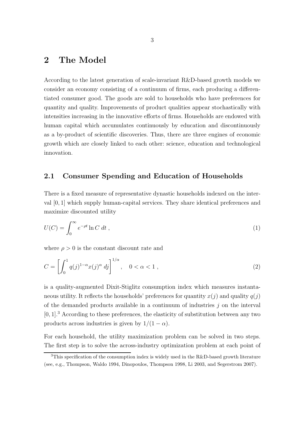### 2 The Model

According to the latest generation of scale-invariant R&D-based growth models we consider an economy consisting of a continuum of firms, each producing a differentiated consumer good. The goods are sold to households who have preferences for quantity and quality. Improvements of product qualities appear stochastically with intensities increasing in the innovative efforts of firms. Households are endowed with human capital which accumulates continuously by education and discontinuously as a by-product of scientific discoveries. Thus, there are three engines of economic growth which are closely linked to each other: science, education and technological innovation.

#### 2.1 Consumer Spending and Education of Households

There is a fixed measure of representative dynastic households indexed on the interval [0, 1] which supply human-capital services. They share identical preferences and maximize discounted utility

$$
U(C) = \int_0^\infty e^{-\rho t} \ln C \, dt \,, \tag{1}
$$

where  $\rho > 0$  is the constant discount rate and

$$
C = \left[ \int_0^1 q(j)^{1-\alpha} x(j)^{\alpha} \, dj \right]^{1/\alpha}, \quad 0 < \alpha < 1 \,, \tag{2}
$$

is a quality-augmented Dixit-Stiglitz consumption index which measures instantaneous utility. It reflects the households' preferences for quantity  $x(j)$  and quality  $q(j)$ of the demanded products available in a continuum of industries  $j$  on the interval  $[0, 1]$ .<sup>3</sup> According to these preferences, the elasticity of substitution between any two products across industries is given by  $1/(1 - \alpha)$ .

For each household, the utility maximization problem can be solved in two steps. The first step is to solve the across-industry optimization problem at each point of

<sup>&</sup>lt;sup>3</sup>This specification of the consumption index is widely used in the R&D-based growth literature (see, e.g., Thompson, Waldo 1994, Dinopoulos, Thompson 1998, Li 2003, and Segerstrom 2007).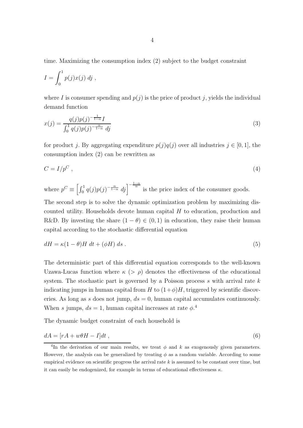time. Maximizing the consumption index (2) subject to the budget constraint

$$
I = \int_0^1 p(j)x(j) \; dj \;,
$$

where I is consumer spending and  $p(j)$  is the price of product j, yields the individual demand function

$$
x(j) = \frac{q(j)p(j)^{-\frac{1}{1-\alpha}}I}{\int_0^1 q(j)p(j)^{-\frac{\alpha}{1-\alpha}}dj}
$$
\n(3)

for product j. By aggregating expenditure  $p(j)q(j)$  over all industries  $j \in [0, 1]$ , the consumption index (2) can be rewritten as

$$
C = I/p^C \t\t(4)
$$

where  $p^C \equiv \left[\int_0^1 q(j)p(j)^{-\frac{\alpha}{1-\alpha}} dj\right]^{-\frac{1-\alpha}{\alpha}}$  is the price index of the consumer goods.

The second step is to solve the dynamic optimization problem by maximizing discounted utility. Households devote human capital H to education, production and R&D. By investing the share  $(1 - \theta) \in (0, 1)$  in education, they raise their human capital according to the stochastic differential equation

$$
dH = \kappa (1 - \theta)H dt + (\phi H) ds . \qquad (5)
$$

The deterministic part of this differential equation corresponds to the well-known Uzawa-Lucas function where  $\kappa$  ( $> \rho$ ) denotes the effectiveness of the educational system. The stochastic part is governed by a Poisson process  $s$  with arrival rate  $k$ indicating jumps in human capital from H to  $(1+\phi)H$ , triggered by scientific discoveries. As long as s does not jump,  $ds = 0$ , human capital accumulates continuously. When s jumps,  $ds = 1$ , human capital increases at rate  $\phi$ <sup>4</sup>

The dynamic budget constraint of each household is

$$
dA = [rA + w\theta H - I]dt , \t\t(6)
$$

<sup>&</sup>lt;sup>4</sup>In the derivation of our main results, we treat  $\phi$  and k as exogenously given parameters. However, the analysis can be generalized by treating  $\phi$  as a random variable. According to some empirical evidence on scientific progress the arrival rate  $k$  is assumed to be constant over time, but it can easily be endogenized, for example in terms of educational effectiveness  $\kappa$ .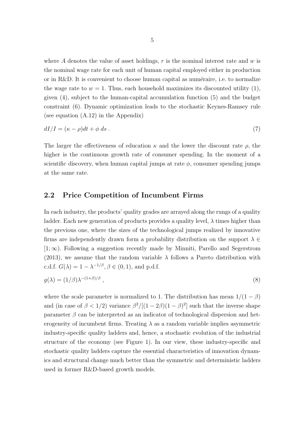where A denotes the value of asset holdings,  $r$  is the nominal interest rate and  $w$  is the nominal wage rate for each unit of human capital employed either in production or in  $R&D$ . It is convenient to choose human capital as numéraire, i.e. to normalize the wage rate to  $w = 1$ . Thus, each household maximizes its discounted utility (1), given (4), subject to the human-capital accumulation function (5) and the budget constraint (6). Dynamic optimization leads to the stochastic Keynes-Ramsey rule (see equation (A.12) in the Appendix)

$$
dI/I = (\kappa - \rho)dt + \phi ds. \tag{7}
$$

The larger the effectiveness of education  $\kappa$  and the lower the discount rate  $\rho$ , the higher is the continuous growth rate of consumer spending. In the moment of a scientific discovery, when human capital jumps at rate  $\phi$ , consumer spending jumps at the same rate.

#### 2.2 Price Competition of Incumbent Firms

In each industry, the products' quality grades are arrayed along the rungs of a quality ladder. Each new generation of products provides a quality level,  $\lambda$  times higher than the previous one, where the sizes of the technological jumps realized by innovative firms are independently drawn form a probability distribution on the support  $\lambda \in$  $[1; \infty)$ . Following a suggestion recently made by Minniti, Parello and Segerstrom (2013), we assume that the random variable  $\lambda$  follows a Pareto distribution with c.d.f.  $G(\lambda) = 1 - \lambda^{-1/\beta}, \beta \in (0, 1)$ , and p.d.f.

$$
g(\lambda) = (1/\beta)\lambda^{-(1+\beta)/\beta} \tag{8}
$$

where the scale parameter is normalized to 1. The distribution has mean  $1/(1 - \beta)$ and (in case of  $\beta < 1/2$ ) variance  $\beta^2/[(1-2\beta)(1-\beta)^2]$  such that the inverse shape parameter  $\beta$  can be interpreted as an indicator of technological dispersion and heterogeneity of incumbent firms. Treating  $\lambda$  as a random variable implies asymmetric industry-specific quality ladders and, hence, a stochastic evolution of the industrial structure of the economy (see Figure 1). In our view, these industry-specific and stochastic quality ladders capture the essential characteristics of innovation dynamics and structural change much better than the symmetric and deterministic ladders used in former R&D-based growth models.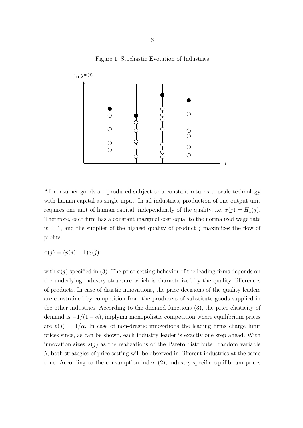Figure 1: Stochastic Evolution of Industries



All consumer goods are produced subject to a constant returns to scale technology with human capital as single input. In all industries, production of one output unit requires one unit of human capital, independently of the quality, i.e.  $x(j) = H_x(j)$ . Therefore, each firm has a constant marginal cost equal to the normalized wage rate  $w = 1$ , and the supplier of the highest quality of product j maximizes the flow of profits

 $\pi(j) = (p(j) - 1)x(j)$ 

with  $x(j)$  specified in (3). The price-setting behavior of the leading firms depends on the underlying industry structure which is characterized by the quality differences of products. In case of drastic innovations, the price decisions of the quality leaders are constrained by competition from the producers of substitute goods supplied in the other industries. According to the demand functions (3), the price elasticity of demand is  $-1/(1-\alpha)$ , implying monopolistic competition where equilibrium prices are  $p(j) = 1/\alpha$ . In case of non-drastic innovations the leading firms charge limit prices since, as can be shown, each industry leader is exactly one step ahead. With innovation sizes  $\lambda(j)$  as the realizations of the Pareto distributed random variable  $\lambda$ , both strategies of price setting will be observed in different industries at the same time. According to the consumption index (2), industry-specific equilibrium prices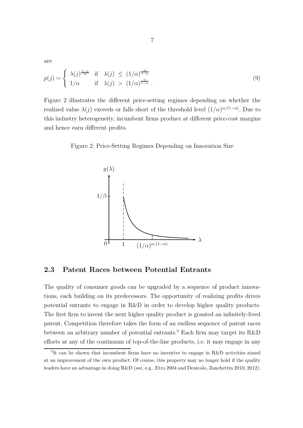are

$$
p(j) = \begin{cases} \lambda(j)^{\frac{1-\alpha}{\alpha}} & \text{if } \lambda(j) \le (1/\alpha)^{\frac{\alpha}{1-\alpha}}\\ 1/\alpha & \text{if } \lambda(j) > (1/\alpha)^{\frac{\alpha}{1-\alpha}} \end{cases} \tag{9}
$$

Figure 2 illustrates the different price-setting regimes depending on whether the realized value  $\lambda(j)$  exceeds or falls short of the threshold level  $(1/\alpha)^{\alpha/(1-\alpha)}$ . Due to this industry heterogeneity, incumbent firms produce at different price-cost margins and hence earn different profits.

Figure 2: Price-Setting Regimes Depending on Innovation Size



#### 2.3 Patent Races between Potential Entrants

The quality of consumer goods can be upgraded by a sequence of product innovations, each building on its predecessors. The opportunity of realizing profits drives potential entrants to engage in R&D in order to develop higher quality products. The first firm to invent the next higher quality product is granted an infinitely-lived patent. Competition therefore takes the form of an endless sequence of patent races between an arbitrary number of potential entrants.<sup>5</sup> Each firm may target its R&D efforts at any of the continuum of top-of-the-line products, i.e. it may engage in any

<sup>5</sup> It can be shown that incumbent firms have no incentive to engage in R&D activities aimed at an improvement of the own product. Of course, this property may no longer hold if the quality leaders have an advantage in doing R&D (see, e.g., Etro 2004 and Denicolo, Zanchettin 2010, 2012).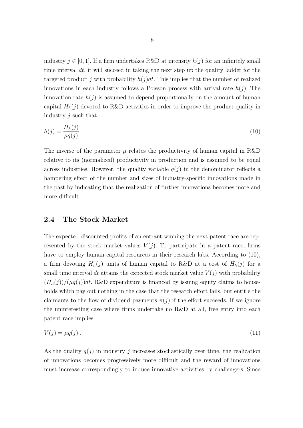industry  $j \in [0, 1]$ . If a firm undertakes R&D at intensity  $h(j)$  for an infinitely small time interval  $dt$ , it will succeed in taking the next step up the quality ladder for the targeted product j with probability  $h(j)dt$ . This implies that the number of realized innovations in each industry follows a Poisson process with arrival rate  $h(j)$ . The innovation rate  $h(j)$  is assumed to depend proportionally on the amount of human capital  $H_h(j)$  devoted to R&D activities in order to improve the product quality in industry j such that

$$
h(j) = \frac{H_h(j)}{\mu q(j)}\,. \tag{10}
$$

The inverse of the parameter  $\mu$  relates the productivity of human capital in R&D relative to its (normalized) productivity in production and is assumed to be equal across industries. However, the quality variable  $q(j)$  in the denominator reflects a hampering effect of the number and sizes of industry-specific innovations made in the past by indicating that the realization of further innovations becomes more and more difficult.

#### 2.4 The Stock Market

The expected discounted profits of an entrant winning the next patent race are represented by the stock market values  $V(j)$ . To participate in a patent race, firms have to employ human-capital resources in their research labs. According to  $(10)$ , a firm devoting  $H_h(j)$  units of human capital to R&D at a cost of  $H_h(j)$  for a small time interval dt attains the expected stock market value  $V(j)$  with probability  $(H_h(j))/(\mu q(j))dt$ . R&D expenditure is financed by issuing equity claims to households which pay out nothing in the case that the research effort fails, but entitle the claimants to the flow of dividend payments  $\pi(j)$  if the effort succeeds. If we ignore the uninteresting case where firms undertake no R&D at all, free entry into each patent race implies

$$
V(j) = \mu q(j) \tag{11}
$$

As the quality  $q(j)$  in industry j increases stochastically over time, the realization of innovations becomes progressively more difficult and the reward of innovations must increase correspondingly to induce innovative activities by challengers. Since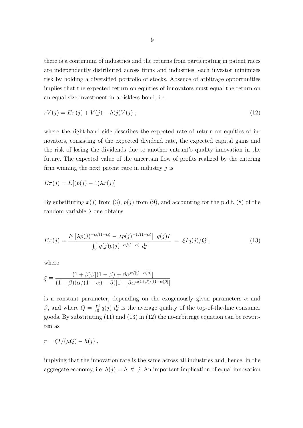there is a continuum of industries and the returns from participating in patent races are independently distributed across firms and industries, each investor minimizes risk by holding a diversified portfolio of stocks. Absence of arbitrage opportunities implies that the expected return on equities of innovators must equal the return on an equal size investment in a riskless bond, i.e.

$$
rV(j) = E\pi(j) + \dot{V}(j) - h(j)V(j) , \qquad (12)
$$

where the right-hand side describes the expected rate of return on equities of innovators, consisting of the expected dividend rate, the expected capital gains and the risk of losing the dividends due to another entrant's quality innovation in the future. The expected value of the uncertain flow of profits realized by the entering firm winning the next patent race in industry  $j$  is

$$
E\pi(j) = E[(p(j) - 1)\lambda x(j)]
$$

By substituting  $x(j)$  from (3),  $p(j)$  from (9), and accounting for the p.d.f. (8) of the random variable  $\lambda$  one obtains

$$
E\pi(j) = \frac{E\left[\lambda p(j)^{-\alpha/(1-\alpha)} - \lambda p(j)^{-1/(1-\alpha)}\right] q(j)I}{\int_0^1 q(j)p(j)^{-\alpha/(1-\alpha)} dj} = \xi Iq(j)/Q, \qquad (13)
$$

where

$$
\xi \equiv \frac{(1+\beta)\beta[(1-\beta)+\beta\alpha^{\alpha/[(1-\alpha)\beta]}}{(1-\beta)(\alpha/(1-\alpha)+\beta)[1+\beta\alpha^{\alpha(1+\beta)/[(1-\alpha)\beta]}]}
$$

is a constant parameter, depending on the exogenously given parameters  $\alpha$  and β, and where  $Q = \int_0^1 q(j) \, dj$  is the average quality of the top-of-the-line consumer goods. By substituting (11) and (13) in (12) the no-arbitrage equation can be rewritten as

$$
r = \xi I / (\mu Q) - h(j) ,
$$

implying that the innovation rate is the same across all industries and, hence, in the aggregate economy, i.e.  $h(j) = h \ \forall j$ . An important implication of equal innovation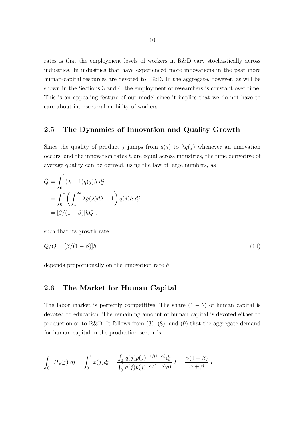rates is that the employment levels of workers in R&D vary stochastically across industries. In industries that have experienced more innovations in the past more human-capital resources are devoted to R&D. In the aggregate, however, as will be shown in the Sections 3 and 4, the employment of researchers is constant over time. This is an appealing feature of our model since it implies that we do not have to care about intersectoral mobility of workers.

#### 2.5 The Dynamics of Innovation and Quality Growth

Since the quality of product j jumps from  $q(j)$  to  $\lambda q(j)$  whenever an innovation occurs, and the innovation rates  $h$  are equal across industries, the time derivative of average quality can be derived, using the law of large numbers, as

$$
\dot{Q} = \int_0^1 (\lambda - 1)q(j)h \, dj
$$
  
= 
$$
\int_0^1 \left( \int_1^\infty \lambda g(\lambda)d\lambda - 1 \right) q(j)h \, dj
$$
  
= 
$$
[\beta/(1 - \beta)]hQ,
$$

such that its growth rate

$$
\dot{Q}/Q = [\beta/(1-\beta)]h \tag{14}
$$

depends proportionally on the innovation rate h.

#### 2.6 The Market for Human Capital

The labor market is perfectly competitive. The share  $(1 - \theta)$  of human capital is devoted to education. The remaining amount of human capital is devoted either to production or to R&D. It follows from  $(3)$ ,  $(8)$ , and  $(9)$  that the aggregate demand for human capital in the production sector is

$$
\int_0^1 H_x(j) \, dj = \int_0^1 x(j)dj = \frac{\int_0^1 q(j)p(j)^{-1/(1-\alpha)}dj}{\int_0^1 q(j)p(j)^{-\alpha/(1-\alpha)}dj} \, I = \frac{\alpha(1+\beta)}{\alpha+\beta} \, I \, ,
$$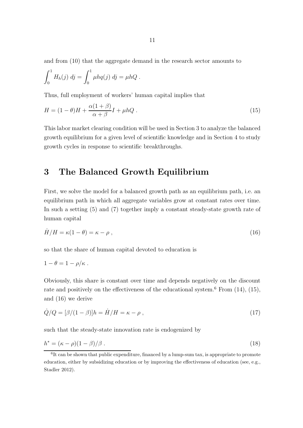and from (10) that the aggregate demand in the research sector amounts to

$$
\int_0^1 H_h(j) \, dj = \int_0^1 \mu h q(j) \, dj = \mu h Q \, .
$$

Thus, full employment of workers' human capital implies that

$$
H = (1 - \theta)H + \frac{\alpha(1 + \beta)}{\alpha + \beta}I + \mu hQ. \qquad (15)
$$

This labor market clearing condition will be used in Section 3 to analyze the balanced growth equilibrium for a given level of scientific knowledge and in Section 4 to study growth cycles in response to scientific breakthroughs.

### 3 The Balanced Growth Equilibrium

First, we solve the model for a balanced growth path as an equilibrium path, i.e. an equilibrium path in which all aggregate variables grow at constant rates over time. In such a setting (5) and (7) together imply a constant steady-state growth rate of human capital

$$
\dot{H}/H = \kappa(1-\theta) = \kappa - \rho \,,\tag{16}
$$

so that the share of human capital devoted to education is

$$
1-\theta=1-\rho/\kappa.
$$

Obviously, this share is constant over time and depends negatively on the discount rate and positively on the effectiveness of the educational system.<sup>6</sup> From  $(14)$ ,  $(15)$ , and (16) we derive

$$
\dot{Q}/Q = [\beta/(1-\beta)]h = \dot{H}/H = \kappa - \rho , \qquad (17)
$$

such that the steady-state innovation rate is endogenized by

$$
h^* = (\kappa - \rho)(1 - \beta)/\beta. \tag{18}
$$

<sup>&</sup>lt;sup>6</sup>It can be shown that public expenditure, financed by a lump-sum tax, is appropriate to promote education, either by subsidizing education or by improving the effectiveness of education (see, e.g., Stadler 2012).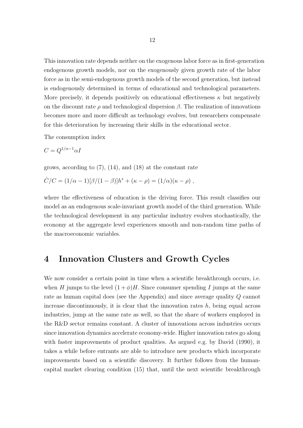This innovation rate depends neither on the exogenous labor force as in first-generation endogenous growth models, nor on the exogenously given growth rate of the labor force as in the semi-endogenous growth models of the second generation, but instead is endogenously determined in terms of educational and technological parameters. More precisely, it depends positively on educational effectiveness  $\kappa$  but negatively on the discount rate  $\rho$  and technological dispersion  $\beta$ . The realization of innovations becomes more and more difficult as technology evolves, but researchers compensate for this deterioration by increasing their skills in the educational sector.

The consumption index

$$
C=Q^{1/\alpha-1}\alpha I
$$

grows, according to  $(7)$ ,  $(14)$ , and  $(18)$  at the constant rate

$$
\dot{C}/C = (1/\alpha - 1)[\beta/(1 - \beta)]h^* + (\kappa - \rho) = (1/\alpha)(\kappa - \rho) ,
$$

where the effectiveness of education is the driving force. This result classifies our model as an endogenous scale-invariant growth model of the third generation. While the technological development in any particular industry evolves stochastically, the economy at the aggregate level experiences smooth and non-random time paths of the macroeconomic variables.

### 4 Innovation Clusters and Growth Cycles

We now consider a certain point in time when a scientific breakthrough occurs, i.e. when H jumps to the level  $(1 + \phi)H$ . Since consumer spending I jumps at the same rate as human capital does (see the Appendix) and since average quality Q cannot increase discontinuously, it is clear that the innovation rates  $h$ , being equal across industries, jump at the same rate as well, so that the share of workers employed in the R&D sector remains constant. A cluster of innovations across industries occurs since innovation dynamics accelerate economy-wide. Higher innovation rates go along with faster improvements of product qualities. As argued e.g. by David (1990), it takes a while before entrants are able to introduce new products which incorporate improvements based on a scientific discovery. It further follows from the humancapital market clearing condition (15) that, until the next scientific breakthrough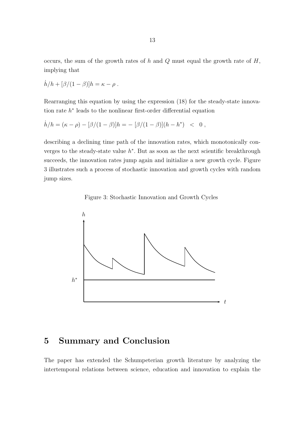occurs, the sum of the growth rates of  $h$  and  $Q$  must equal the growth rate of  $H$ , implying that

$$
\dot{h}/h + [\beta/(1-\beta)]h = \kappa - \rho.
$$

Rearranging this equation by using the expression (18) for the steady-state innovation rate  $h^*$  leads to the nonlinear first-order differential equation

$$
\dot{h}/h = (\kappa - \rho) - [\beta/(1 - \beta)]h = - [\beta/(1 - \beta)](h - h^*) < 0,
$$

describing a declining time path of the innovation rates, which monotonically converges to the steady-state value  $h^*$ . But as soon as the next scientific breakthrough succeeds, the innovation rates jump again and initialize a new growth cycle. Figure 3 illustrates such a process of stochastic innovation and growth cycles with random jump sizes.





### 5 Summary and Conclusion

The paper has extended the Schumpeterian growth literature by analyzing the intertemporal relations between science, education and innovation to explain the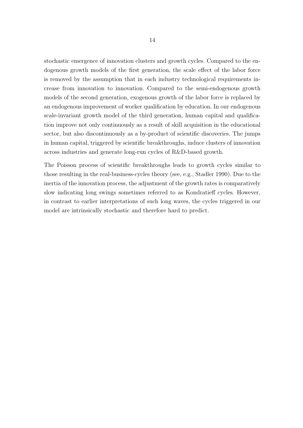stochastic emergence of innovation clusters and growth cycles. Compared to the endogenous growth models of the first generation, the scale effect of the labor force is removed by the assumption that in each industry technological requirements increase from innovation to innovation. Compared to the semi-endogenous growth models of the second generation, exogenous growth of the labor force is replaced by an endogenous improvement of worker qualification by education. In our endogenous scale-invariant growth model of the third generation, human capital and qualification improve not only continuously as a result of skill acquisition in the educational sector, but also discontinuously as a by-product of scientific discoveries. The jumps in human capital, triggered by scientific breakthroughs, induce clusters of innovation across industries and generate long-run cycles of R&D-based growth.

The Poisson process of scientific breakthroughs leads to growth cycles similar to those resulting in the real-business-cycles theory (see, e.g., Stadler 1990). Due to the inertia of the innovation process, the adjustment of the growth rates is comparatively slow indicating long swings sometimes referred to as Kondratieff cycles. However, in contrast to earlier interpretations of such long waves, the cycles triggered in our model are intrinsically stochastic and therefore hard to predict.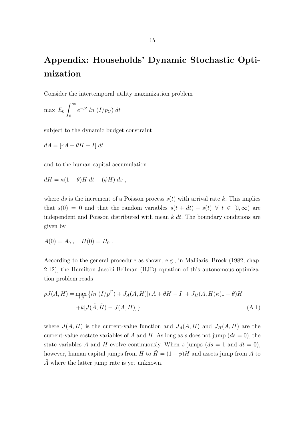## Appendix: Households' Dynamic Stochastic Optimization

Consider the intertemporal utility maximization problem

$$
\max \ E_0 \int_0^\infty e^{-\rho t} \ ln \ (I/p_C) \ dt
$$

subject to the dynamic budget constraint

$$
dA = [rA + \theta H - I] dt
$$

and to the human-capital accumulation

$$
dH = \kappa (1 - \theta) H \, dt + (\phi H) \, ds \;,
$$

where ds is the increment of a Poisson process  $s(t)$  with arrival rate k. This implies that  $s(0) = 0$  and that the random variables  $s(t + dt) - s(t) \forall t \in [0, \infty)$  are independent and Poisson distributed with mean  $k \, dt$ . The boundary conditions are given by

$$
A(0) = A_0 , \quad H(0) = H_0 .
$$

According to the general procedure as shown, e.g., in Malliaris, Brock (1982, chap. 2.12), the Hamilton-Jacobi-Bellman (HJB) equation of this autonomous optimization problem reads

$$
\rho J(A, H) = \max_{I, \theta} \left\{ \ln (I/p^C) + J_A(A, H)[rA + \theta H - I] + J_H(A, H)\kappa (1 - \theta)H + k[J(\tilde{A}, \tilde{H}) - J(A, H)] \right\}
$$
\n(A.1)

where  $J(A, H)$  is the current-value function and  $J_A(A, H)$  and  $J_H(A, H)$  are the current-value costate variables of A and H. As long as s does not jump  $(ds = 0)$ , the state variables A and H evolve continuously. When s jumps  $(ds = 1 \text{ and } dt = 0),$ however, human capital jumps from H to  $\tilde{H} = (1 + \phi)H$  and assets jump from A to  $\tilde{A}$  where the latter jump rate is yet unknown.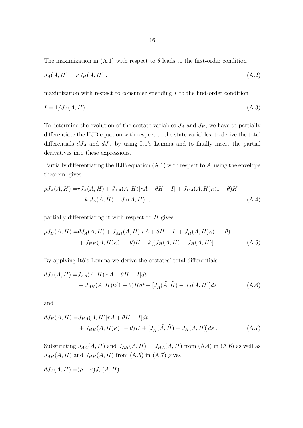The maximization in  $(A.1)$  with respect to  $\theta$  leads to the first-order condition

$$
J_A(A, H) = \kappa J_H(A, H) \tag{A.2}
$$

maximization with respect to consumer spending  $I$  to the first-order condition

$$
I = 1/JA(A, H) .
$$
 (A.3)

To determine the evolution of the costate variables  $J_A$  and  $J_H$ , we have to partially differentiate the HJB equation with respect to the state variables, to derive the total differentials  $dJ_A$  and  $dJ_H$  by using Ito's Lemma and to finally insert the partial derivatives into these expressions.

Partially differentiating the HJB equation  $(A.1)$  with respect to  $A$ , using the envelope theorem, gives

$$
\rho J_A(A, H) = r J_A(A, H) + J_{AA}(A, H)[rA + \theta H - I] + J_{HA}(A, H)\kappa(1 - \theta)H + k[J_A(\tilde{A}, \tilde{H}) - J_A(A, H)],
$$
\n(A.4)

partially differentiating it with respect to  $H$  gives

$$
\rho J_H(A, H) = \theta J_A(A, H) + J_{AH}(A, H)[rA + \theta H - I] + J_H(A, H)\kappa(1 - \theta) + J_{HH}(A, H)\kappa(1 - \theta)H + k[(J_H(\tilde{A}, \tilde{H}) - J_H(A, H)].
$$
\n(A.5)

By applying Itô's Lemma we derive the costates' total differentials

$$
dJ_A(A, H) = J_{AA}(A, H)[rA + \theta H - I]dt
$$
  
+ 
$$
J_{AH}(A, H)\kappa(1 - \theta)Hdt + [J_{\tilde{A}}(\tilde{A}, \tilde{H}) - J_A(A, H)]ds
$$
 (A.6)

and

$$
dJ_H(A, H) = J_{HA}(A, H)[rA + \theta H - I]dt
$$
  
+ 
$$
J_{HH}(A, H)\kappa(1 - \theta)H + [J_{\tilde{H}}(\tilde{A}, \tilde{H}) - J_H(A, H)]ds.
$$
 (A.7)

Substituting  $J_{AA}(A, H)$  and  $J_{AH}(A, H) = J_{HA}(A, H)$  from (A.4) in (A.6) as well as  $J_{AH}(A, H)$  and  $J_{HH}(A, H)$  from (A.5) in (A.7) gives

$$
dJ_A(A, H) = (\rho - r)J_A(A, H)
$$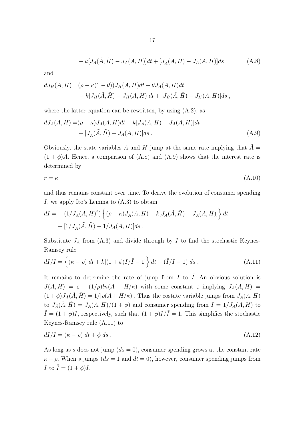$$
-k[J_A(\tilde{A}, \tilde{H}) - J_A(A, H)]dt + [J_{\tilde{A}}(\tilde{A}, \tilde{H}) - J_A(A, H)]ds
$$
 (A.8)

and

$$
dJ_H(A, H) = (\rho - \kappa(1 - \theta))J_H(A, H)dt - \theta J_A(A, H)dt
$$
  
- k[J<sub>H</sub>( $\tilde{A}, \tilde{H}$ ) - J<sub>H</sub>( $A, H$ )]dt + [J<sub>H</sub>( $\tilde{A}, \tilde{H}$ ) - J<sub>H</sub>( $A, H$ )]ds,

where the latter equation can be rewritten, by using  $(A.2)$ , as

$$
dJ_A(A, H) = (\rho - \kappa)J_A(A, H)dt - k[J_A(\tilde{A}, \tilde{H}) - J_A(A, H)]dt
$$
  
+ 
$$
[J_{\tilde{A}}(\tilde{A}, \tilde{H}) - J_A(A, H)]ds .
$$
 (A.9)

Obviously, the state variables A and H jump at the same rate implying that  $\tilde{A} =$  $(1 + \phi)A$ . Hence, a comparison of  $(A.8)$  and  $(A.9)$  shows that the interest rate is determined by

$$
r = \kappa \tag{A.10}
$$

and thus remains constant over time. To derive the evolution of consumer spending I, we apply Ito's Lemma to (A.3) to obtain

$$
dI = - (1/J_A(A, H)^2) \left\{ (\rho - \kappa) J_A(A, H) - k[J_A(\tilde{A}, \tilde{H}) - J_A(A, H)] \right\} dt
$$
  
+ 
$$
[1/J_{\tilde{A}}(\tilde{A}, \tilde{H}) - 1/J_A(A, H)] ds.
$$

Substitute  $J_A$  from (A.3) and divide through by I to find the stochastic Keynes-Ramsey rule

$$
dI/I = \left\{ (\kappa - \rho) dt + k[(1 + \phi)I/\tilde{I} - 1] \right\} dt + (\tilde{I}/I - 1) ds . \tag{A.11}
$$

It remains to determine the rate of jump from  $I$  to  $\tilde{I}$ . An obvious solution is  $J(A, H) = \varepsilon + (1/\rho)ln(A + H/\kappa)$  with some constant  $\varepsilon$  implying  $J_A(A, H) =$  $(1 + \phi)J_{\tilde{A}}(\tilde{A}, \tilde{H}) = 1/[\rho(A + H/\kappa)].$  Thus the costate variable jumps from  $J_A(A, H)$ to  $J_{\tilde{A}}(\tilde{A},\tilde{H}) = J_A(A,H)/(1+\phi)$  and consumer spending from  $I = 1/J_A(A,H)$  to  $ilde{I} = (1 + \phi)I$ , respectively, such that  $(1 + \phi)I/\tilde{I} = 1$ . This simplifies the stochastic Keynes-Ramsey rule (A.11) to

$$
dI/I = (\kappa - \rho) dt + \phi ds. \tag{A.12}
$$

As long as s does not jump  $(ds = 0)$ , consumer spending grows at the constant rate  $\kappa - \rho$ . When s jumps (ds = 1 and dt = 0), however, consumer spending jumps from I to  $\tilde{I} = (1 + \phi)I$ .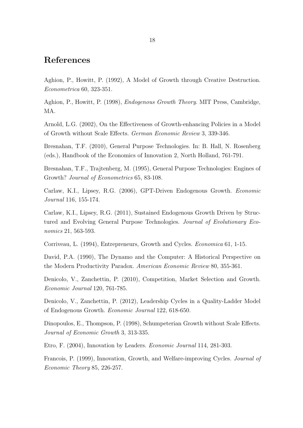### References

Aghion, P., Howitt, P. (1992), A Model of Growth through Creative Destruction. Econometrica 60, 323-351.

Aghion, P., Howitt, P. (1998), Endogenous Growth Theory. MIT Press, Cambridge, MA.

Arnold, L.G. (2002), On the Effectiveness of Growth-enhancing Policies in a Model of Growth without Scale Effects. German Economic Review 3, 339-346.

Bresnahan, T.F. (2010), General Purpose Technologies. In: B. Hall, N. Rosenberg (eds.), Handbook of the Economics of Innovation 2, North Holland, 761-791.

Bresnahan, T.F., Trajtenberg, M. (1995), General Purpose Technologies: Engines of Growth? Journal of Econometrics 65, 83-108.

Carlaw, K.I., Lipsey, R.G. (2006), GPT-Driven Endogenous Growth. Economic Journal 116, 155-174.

Carlaw, K.I., Lipsey, R.G. (2011), Sustained Endogenous Growth Driven by Structured and Evolving General Purpose Technologies. Journal of Evolutionary Economics 21, 563-593.

Corriveau, L. (1994), Entrepreneurs, Growth and Cycles. Economica 61, 1-15.

David, P.A. (1990), The Dynamo and the Computer: A Historical Perspective on the Modern Productivity Paradox. American Economic Review 80, 355-361.

Denicolo, V., Zanchettin, P. (2010), Competition, Market Selection and Growth. Economic Journal 120, 761-785.

Denicolo, V., Zanchettin, P. (2012), Leadership Cycles in a Quality-Ladder Model of Endogenous Growth. Economic Journal 122, 618-650.

Dinopoulos, E., Thompson, P. (1998), Schumpeterian Growth without Scale Effects. Journal of Economic Growth 3, 313-335.

Etro, F. (2004), Innovation by Leaders. Economic Journal 114, 281-303.

Francois, P. (1999), Innovation, Growth, and Welfare-improving Cycles. Journal of Economic Theory 85, 226-257.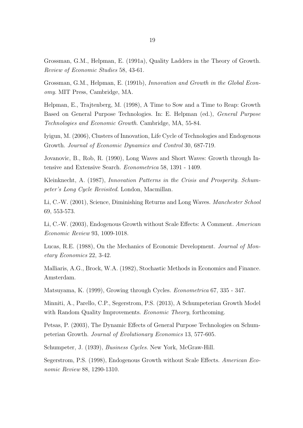Grossman, G.M., Helpman, E. (1991a), Quality Ladders in the Theory of Growth. Review of Economic Studies 58, 43-61.

Grossman, G.M., Helpman, E. (1991b), Innovation and Growth in the Global Economy. MIT Press, Cambridge, MA.

Helpman, E., Trajtenberg, M. (1998), A Time to Sow and a Time to Reap: Growth Based on General Purpose Technologies. In: E. Helpman (ed.), General Purpose Technologies and Economic Growth. Cambridge, MA, 55-84.

Iyigun, M. (2006), Clusters of Innovation, Life Cycle of Technologies and Endogenous Growth. Journal of Economic Dynamics and Control 30, 687-719.

Jovanovic, B., Rob, R. (1990), Long Waves and Short Waves: Growth through Intensive and Extensive Search. Econometrica 58, 1391 - 1409.

Kleinknecht, A. (1987), Innovation Patterns in the Crisis and Prosperity. Schumpeter's Long Cycle Revisited. London, Macmillan.

Li, C.-W. (2001), Science, Diminishing Returns and Long Waves. Manchester School 69, 553-573.

Li, C.-W. (2003), Endogenous Growth without Scale Effects: A Comment. American Economic Review 93, 1009-1018.

Lucas, R.E. (1988), On the Mechanics of Economic Development. Journal of Monetary Economics 22, 3-42.

Malliaris, A.G., Brock, W.A. (1982), Stochastic Methods in Economics and Finance. Amsterdam.

Matsuyama, K. (1999), Growing through Cycles. Econometrica 67, 335 - 347.

Minniti, A., Parello, C.P., Segerstrom, P.S. (2013), A Schumpeterian Growth Model with Random Quality Improvements. *Economic Theory*, forthcoming.

Petsas, P. (2003), The Dynamic Effects of General Purpose Technologies on Schumpeterian Growth. Journal of Evolutionary Economics 13, 577-605.

Schumpeter, J. (1939), Business Cycles. New York, McGraw-Hill.

Segerstrom, P.S. (1998), Endogenous Growth without Scale Effects. American Economic Review 88, 1290-1310.